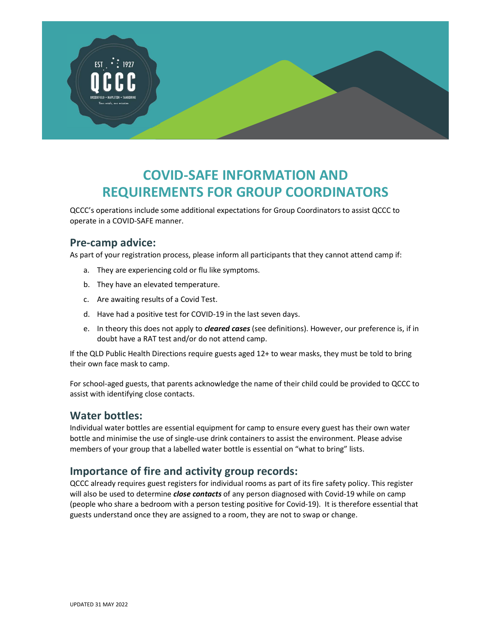

# COVID-SAFE INFORMATION AND REQUIREMENTS FOR GROUP COORDINATORS

QCCC's operations include some additional expectations for Group Coordinators to assist QCCC to operate in a COVID-SAFE manner.

#### Pre-camp advice:

As part of your registration process, please inform all participants that they cannot attend camp if:

- a. They are experiencing cold or flu like symptoms.
- b. They have an elevated temperature.
- c. Are awaiting results of a Covid Test.
- d. Have had a positive test for COVID-19 in the last seven days.
- e. In theory this does not apply to *cleared cases* (see definitions). However, our preference is, if in doubt have a RAT test and/or do not attend camp.

If the QLD Public Health Directions require guests aged 12+ to wear masks, they must be told to bring their own face mask to camp.

For school-aged guests, that parents acknowledge the name of their child could be provided to QCCC to assist with identifying close contacts.

#### Water bottles:

Individual water bottles are essential equipment for camp to ensure every guest has their own water bottle and minimise the use of single-use drink containers to assist the environment. Please advise members of your group that a labelled water bottle is essential on "what to bring" lists.

#### Importance of fire and activity group records:

QCCC already requires guest registers for individual rooms as part of its fire safety policy. This register will also be used to determine *close contacts* of any person diagnosed with Covid-19 while on camp (people who share a bedroom with a person testing positive for Covid-19). It is therefore essential that guests understand once they are assigned to a room, they are not to swap or change.